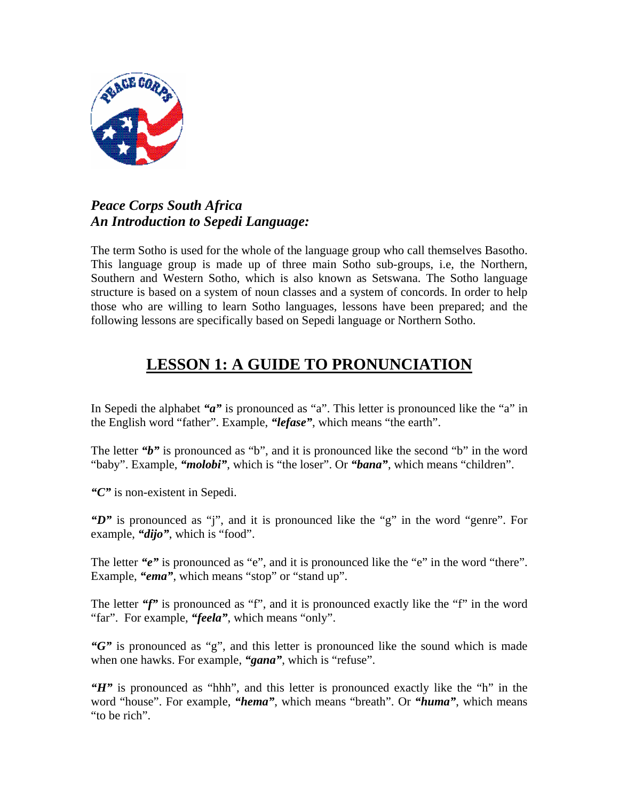

#### *Peace Corps South Africa An Introduction to Sepedi Language:*

The term Sotho is used for the whole of the language group who call themselves Basotho. This language group is made up of three main Sotho sub-groups, i.e, the Northern, Southern and Western Sotho, which is also known as Setswana. The Sotho language structure is based on a system of noun classes and a system of concords. In order to help those who are willing to learn Sotho languages, lessons have been prepared; and the following lessons are specifically based on Sepedi language or Northern Sotho.

# **LESSON 1: A GUIDE TO PRONUNCIATION**

In Sepedi the alphabet *"a"* is pronounced as "a". This letter is pronounced like the "a" in the English word "father". Example, *"lefase"*, which means "the earth".

The letter *"b"* is pronounced as "b", and it is pronounced like the second "b" in the word "baby". Example, *"molobi"*, which is "the loser". Or *"bana"*, which means "children".

*"C"* is non-existent in Sepedi.

*"D"* is pronounced as "j", and it is pronounced like the "g" in the word "genre". For example, *"dijo"*, which is "food".

The letter *"e"* is pronounced as "e", and it is pronounced like the "e" in the word "there". Example, "ema", which means "stop" or "stand up".

The letter *"f"* is pronounced as "f", and it is pronounced exactly like the "f" in the word "far". For example, *"feela"*, which means "only".

*"G"* is pronounced as "g", and this letter is pronounced like the sound which is made when one hawks. For example, "**gana**", which is "refuse".

*"H"* is pronounced as "hhh", and this letter is pronounced exactly like the "h" in the word "house". For example, *"hema"*, which means "breath". Or *"huma"*, which means "to be rich".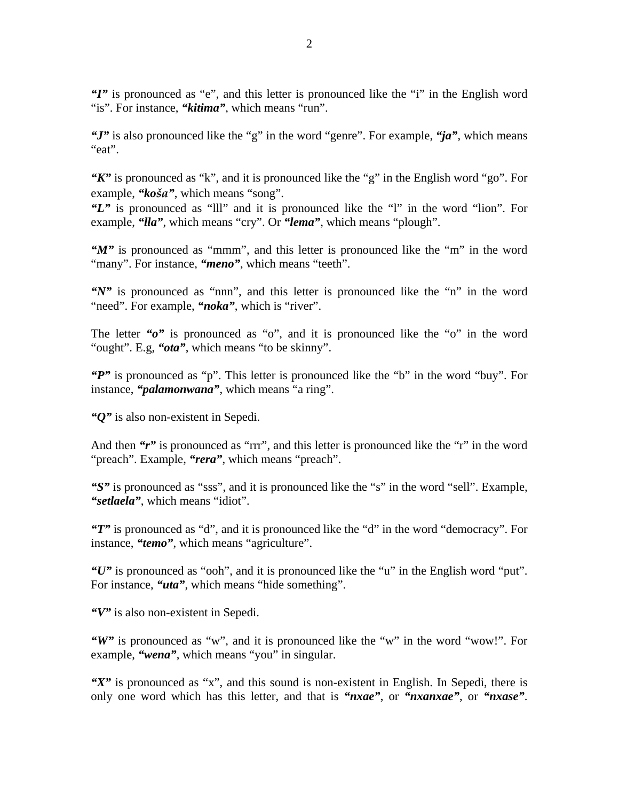*"I"* is pronounced as "e", and this letter is pronounced like the "i" in the English word "is". For instance, "*kitima*", which means "run".

*"J"* is also pronounced like the "g" in the word "genre". For example, *"ja"*, which means "eat".

*"K"* is pronounced as "k", and it is pronounced like the "g" in the English word "go". For example, *"koša"*, which means "song".

*"L"* is pronounced as "lll" and it is pronounced like the "l" in the word "lion". For example, *"lla"*, which means "cry". Or *"lema"*, which means "plough".

*"M"* is pronounced as "mmm", and this letter is pronounced like the "m" in the word "many". For instance, "*meno*", which means "teeth".

*"N"* is pronounced as "nnn", and this letter is pronounced like the "n" in the word "need". For example, "*noka*", which is "river".

The letter "o" is pronounced as "o", and it is pronounced like the "o" in the word "ought". E.g, *"ota"*, which means "to be skinny".

*"P"* is pronounced as "p". This letter is pronounced like the "b" in the word "buy". For instance, *"palamonwana"*, which means "a ring".

*"Q"* is also non-existent in Sepedi.

And then "r" is pronounced as "rrr", and this letter is pronounced like the "r" in the word "preach". Example, "**rera**", which means "preach".

*"S"* is pronounced as "sss", and it is pronounced like the "s" in the word "sell". Example, *"setlaela"*, which means "idiot".

*"T"* is pronounced as "d", and it is pronounced like the "d" in the word "democracy". For instance, *"temo"*, which means "agriculture".

*"U"* is pronounced as "ooh", and it is pronounced like the "u" in the English word "put". For instance, "*uta*", which means "hide something".

*"V"* is also non-existent in Sepedi.

*"W"* is pronounced as "w", and it is pronounced like the "w" in the word "wow!". For example, "wena", which means "you" in singular.

*"X"* is pronounced as "x", and this sound is non-existent in English. In Sepedi, there is only one word which has this letter, and that is *"nxae"*, or *"nxanxae"*, or *"nxase"*.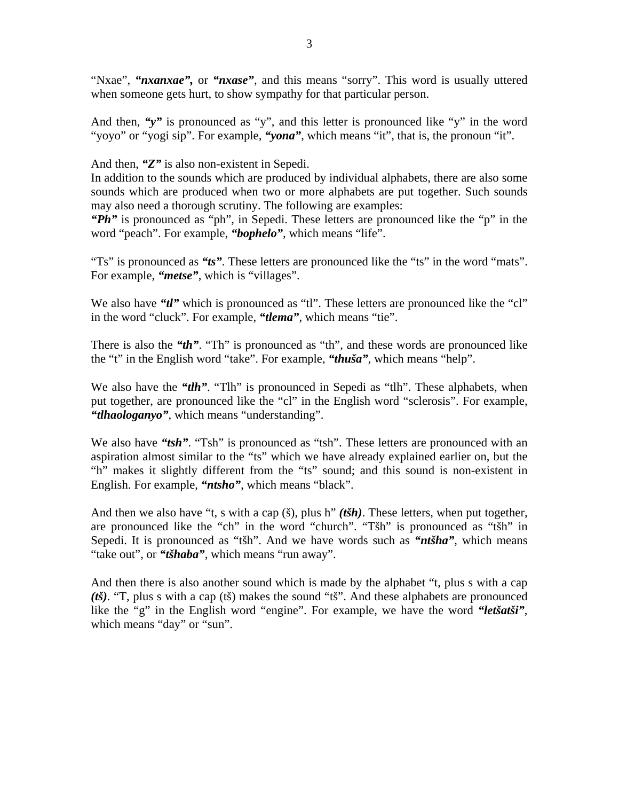"Nxae", "nxanxae", or "nxase", and this means "sorry". This word is usually uttered when someone gets hurt, to show sympathy for that particular person.

And then, "y" is pronounced as "y", and this letter is pronounced like "y" in the word "yoyo" or "yogi sip". For example, *"yona"*, which means "it", that is, the pronoun "it".

And then, *"Z"* is also non-existent in Sepedi.

In addition to the sounds which are produced by individual alphabets, there are also some sounds which are produced when two or more alphabets are put together. Such sounds may also need a thorough scrutiny. The following are examples:

*"Ph"* is pronounced as "ph", in Sepedi. These letters are pronounced like the "p" in the word "peach". For example, "**bophelo**", which means "life".

"Ts" is pronounced as *"ts"*. These letters are pronounced like the "ts" in the word "mats". For example, "*metse*", which is "villages".

We also have *"tl"* which is pronounced as "tl". These letters are pronounced like the "cl" in the word "cluck". For example, *"tlema"*, which means "tie".

There is also the "th". "Th" is pronounced as "th", and these words are pronounced like the "t" in the English word "take". For example, *"thuša"*, which means "help".

We also have the *"tlh"*. "The *"* is pronounced in Sepedi as "tlh". These alphabets, when put together, are pronounced like the "cl" in the English word "sclerosis". For example, *"tlhaologanyo"*, which means "understanding".

We also have "tsh". "Tsh" is pronounced as "tsh". These letters are pronounced with an aspiration almost similar to the "ts" which we have already explained earlier on, but the "h" makes it slightly different from the "ts" sound; and this sound is non-existent in English. For example, *"ntsho"*, which means "black".

And then we also have "t, s with a cap (š), plus h" *(tšh)*. These letters, when put together, are pronounced like the "ch" in the word "church". "Tšh" is pronounced as "tšh" in Sepedi. It is pronounced as "tšh". And we have words such as *"ntšha"*, which means "take out", or *"tšhaba"*, which means "run away".

And then there is also another sound which is made by the alphabet "t, plus s with a cap *(tš)*. "T, plus s with a cap (tš) makes the sound "tš". And these alphabets are pronounced like the "g" in the English word "engine". For example, we have the word *"letšatši"*, which means "day" or "sun".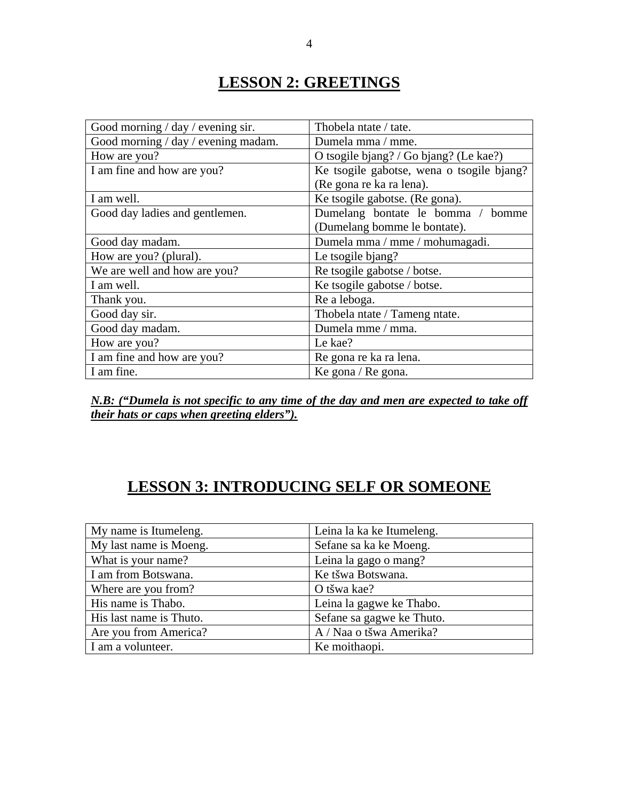### **LESSON 2: GREETINGS**

| Good morning / day / evening sir.   | Thobela ntate / tate.                     |  |  |  |
|-------------------------------------|-------------------------------------------|--|--|--|
| Good morning / day / evening madam. | Dumela mma / mme.                         |  |  |  |
| How are you?                        | O tsogile bjang? / Go bjang? (Le kae?)    |  |  |  |
| I am fine and how are you?          | Ke tsogile gabotse, wena o tsogile bjang? |  |  |  |
|                                     | (Re gona re ka ra lena).                  |  |  |  |
| I am well.                          | Ke tsogile gabotse. (Re gona).            |  |  |  |
| Good day ladies and gentlemen.      | Dumelang bontate le bomma / bomme         |  |  |  |
|                                     | (Dumelang bomme le bontate).              |  |  |  |
| Good day madam.                     | Dumela mma / mme / mohumagadi.            |  |  |  |
| How are you? (plural).              | Le tsogile bjang?                         |  |  |  |
| We are well and how are you?        | Re tsogile gabotse / botse.               |  |  |  |
| I am well.                          | Ke tsogile gabotse / botse.               |  |  |  |
| Thank you.                          | Re a leboga.                              |  |  |  |
| Good day sir.                       | Thobela ntate / Tameng ntate.             |  |  |  |
| Good day madam.                     | Dumela mme / mma.                         |  |  |  |
| How are you?                        | Le kae?                                   |  |  |  |
| I am fine and how are you?          | Re gona re ka ra lena.                    |  |  |  |
| I am fine.                          | Ke gona / Re gona.                        |  |  |  |

*N.B: ("Dumela is not specific to any time of the day and men are expected to take off their hats or caps when greeting elders").*

### **LESSON 3: INTRODUCING SELF OR SOMEONE**

| My name is Itumeleng.   | Leina la ka ke Itumeleng. |
|-------------------------|---------------------------|
| My last name is Moeng.  | Sefane sa ka ke Moeng.    |
| What is your name?      | Leina la gago o mang?     |
| I am from Botswana.     | Ke tšwa Botswana.         |
| Where are you from?     | O tšwa kae?               |
| His name is Thabo.      | Leina la gagwe ke Thabo.  |
| His last name is Thuto. | Sefane sa gagwe ke Thuto. |
| Are you from America?   | A / Naa o tšwa Amerika?   |
| I am a volunteer.       | Ke moithaopi.             |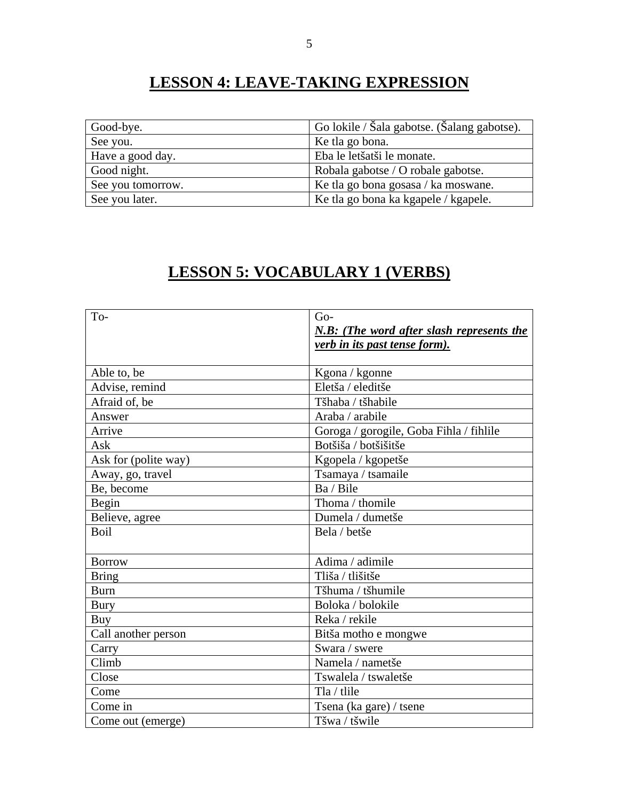# **LESSON 4: LEAVE-TAKING EXPRESSION**

| Good-bye.         | Go lokile / Šala gabotse. (Šalang gabotse). |  |  |
|-------------------|---------------------------------------------|--|--|
| See you.          | Ke tla go bona.                             |  |  |
| Have a good day.  | Eba le letšatši le monate.                  |  |  |
| Good night.       | Robala gabotse / O robale gabotse.          |  |  |
| See you tomorrow. | Ke tla go bona gosasa / ka moswane.         |  |  |
| See you later.    | Ke tla go bona ka kgapele / kgapele.        |  |  |

### **LESSON 5: VOCABULARY 1 (VERBS)**

| To-                  | $Go-$                                     |
|----------------------|-------------------------------------------|
|                      | N.B: (The word after slash represents the |
|                      | verb in its past tense form).             |
|                      |                                           |
| Able to, be          | Kgona / kgonne                            |
| Advise, remind       | Eletša / eleditše                         |
| Afraid of, be        | Tšhaba / tšhabile                         |
| Answer               | Araba / arabile                           |
| Arrive               | Goroga / gorogile, Goba Fihla / fihlile   |
| Ask                  | Botšiša / botšišitše                      |
| Ask for (polite way) | Kgopela / kgopetše                        |
| Away, go, travel     | Tsamaya / tsamaile                        |
| Be, become           | Ba / Bile                                 |
| Begin                | Thoma / thomile                           |
| Believe, agree       | Dumela / dumetše                          |
| <b>Boil</b>          | Bela / betše                              |
|                      |                                           |
| <b>Borrow</b>        | Adima / adimile                           |
| <b>Bring</b>         | Tliša / tlišitše                          |
| <b>Burn</b>          | Tšhuma / tšhumile                         |
| <b>Bury</b>          | Boloka / bolokile                         |
| Buy                  | Reka / rekile                             |
| Call another person  | Bitša motho e mongwe                      |
| Carry                | Swara / swere                             |
| Climb                | Namela / nametše                          |
| Close                | Tswalela / tswaletše                      |
| Come                 | Tla / tlile                               |
| Come in              | Tsena (ka gare) / tsene                   |
| Come out (emerge)    | Tšwa / tšwile                             |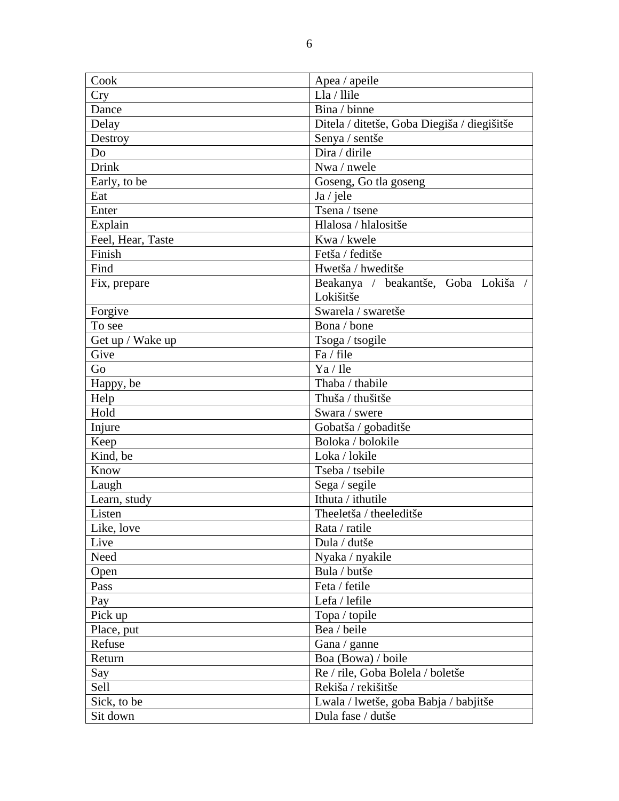| Cook              | Apea / apeile                               |  |  |  |
|-------------------|---------------------------------------------|--|--|--|
| <b>Cry</b>        | Lla / llile                                 |  |  |  |
| Dance             | Bina / binne                                |  |  |  |
| Delay             | Ditela / ditetše, Goba Diegiša / diegišitše |  |  |  |
| Destroy           | Senya / sentše                              |  |  |  |
| Do                | Dira / dirile                               |  |  |  |
| Drink             | Nwa / nwele                                 |  |  |  |
| Early, to be      | Goseng, Go tla goseng                       |  |  |  |
| Eat               | Ja / jele                                   |  |  |  |
| Enter             | Tsena / tsene                               |  |  |  |
| Explain           | Hlalosa / hlalositše                        |  |  |  |
| Feel, Hear, Taste | Kwa / kwele                                 |  |  |  |
| Finish            | Fetša / feditše                             |  |  |  |
| Find              | Hwetša / hweditše                           |  |  |  |
| Fix, prepare      | Beakanya / beakantše, Goba Lokiša /         |  |  |  |
|                   | Lokišitše                                   |  |  |  |
| Forgive           | Swarela / swaretše                          |  |  |  |
| To see            | Bona / bone                                 |  |  |  |
| Get up / Wake up  | Tsoga / tsogile                             |  |  |  |
| Give              | Fa / file                                   |  |  |  |
| Go                | Ya / Ile                                    |  |  |  |
| Happy, be         | Thaba / thabile                             |  |  |  |
| Help              | Thuša / thušitše                            |  |  |  |
| Hold              | Swara / swere                               |  |  |  |
| Injure            | Gobatša / gobaditše                         |  |  |  |
| Keep              | Boloka / bolokile                           |  |  |  |
| Kind, be          | Loka / lokile                               |  |  |  |
| Know              | Tseba / tsebile                             |  |  |  |
| Laugh             | Sega / segile                               |  |  |  |
| Learn, study      | Ithuta / ithutile                           |  |  |  |
| Listen            | Theeletša / theeleditše                     |  |  |  |
| Like, love        | Rata / ratile                               |  |  |  |
| Live              | Dula / dutše                                |  |  |  |
| Need              | Nyaka / nyakile                             |  |  |  |
| Open              | Bula / butše                                |  |  |  |
| Pass              | Feta / fetile                               |  |  |  |
| Pay               | Lefa / lefile                               |  |  |  |
| Pick up           | Topa / topile                               |  |  |  |
| Place, put        | Bea / beile                                 |  |  |  |
| Refuse            | Gana / ganne                                |  |  |  |
| Return            | Boa (Bowa) / boile                          |  |  |  |
| Say               | Re / rile, Goba Bolela / boletše            |  |  |  |
| Sell              | Rekiša / rekišitše                          |  |  |  |
| Sick, to be       | Lwala / lwetše, goba Babja / babjitše       |  |  |  |
| Sit down          | Dula fase / dutše                           |  |  |  |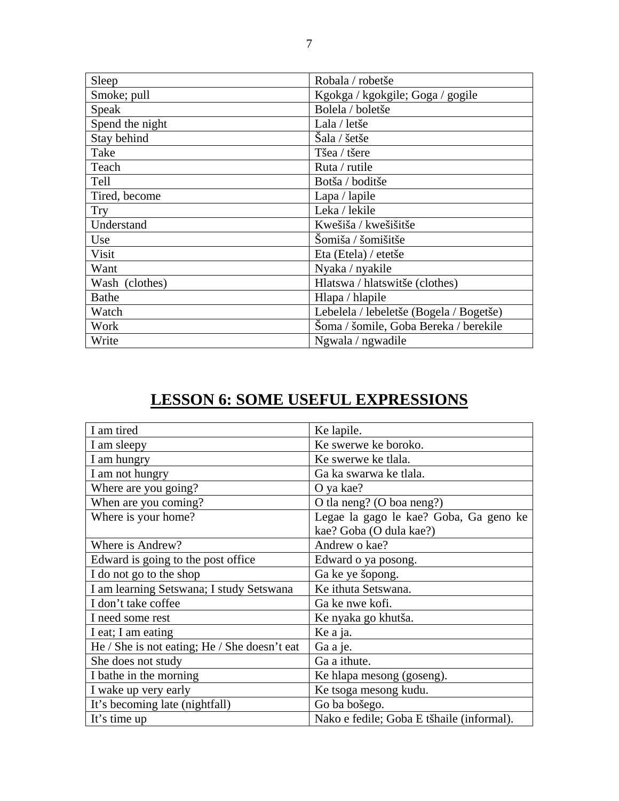| Sleep           | Robala / robetše                        |
|-----------------|-----------------------------------------|
| Smoke; pull     | Kgokga / kgokgile; Goga / gogile        |
| Speak           | Bolela / boletše                        |
| Spend the night | Lala / letše                            |
| Stay behind     | Šala / šetše                            |
| Take            | Tšea / tšere                            |
| Teach           | Ruta / rutile                           |
| Tell            | Botša / boditše                         |
| Tired, become   | Lapa / lapile                           |
| <b>Try</b>      | Leka / lekile                           |
| Understand      | Kwešiša / kwešišitše                    |
| Use             | Šomiša / šomišitše                      |
| Visit           | Eta (Etela) / etetše                    |
| Want            | Nyaka / nyakile                         |
| Wash (clothes)  | Hlatswa / hlatswitše (clothes)          |
| <b>Bathe</b>    | Hlapa / hlapile                         |
| Watch           | Lebelela / lebeletše (Bogela / Bogetše) |
| Work            | Šoma / šomile, Goba Bereka / berekile   |
| Write           | Ngwala / ngwadile                       |

# **LESSON 6: SOME USEFUL EXPRESSIONS**

| I am tired                                   | Ke lapile.                                |
|----------------------------------------------|-------------------------------------------|
| I am sleepy                                  | Ke swerwe ke boroko.                      |
| I am hungry                                  | Ke swerwe ke tlala.                       |
| I am not hungry                              | Ga ka swarwa ke tlala.                    |
| Where are you going?                         | O ya kae?                                 |
| When are you coming?                         | O tla neng? (O boa neng?)                 |
| Where is your home?                          | Legae la gago le kae? Goba, Ga geno ke    |
|                                              | kae? Goba (O dula kae?)                   |
| Where is Andrew?                             | Andrew o kae?                             |
| Edward is going to the post office           | Edward o ya posong.                       |
| I do not go to the shop                      | Ga ke ye šopong.                          |
| I am learning Setswana; I study Setswana     | Ke ithuta Setswana.                       |
| I don't take coffee                          | Ga ke nwe kofi.                           |
| I need some rest                             | Ke nyaka go khutša.                       |
| I eat; I am eating                           | Ke a ja.                                  |
| He / She is not eating; He / She doesn't eat | Ga a je.                                  |
| She does not study                           | Ga a ithute.                              |
| I bathe in the morning                       | Ke hlapa mesong (goseng).                 |
| I wake up very early                         | Ke tsoga mesong kudu.                     |
| It's becoming late (nightfall)               | Go ba bošego.                             |
| It's time up                                 | Nako e fedile; Goba E tšhaile (informal). |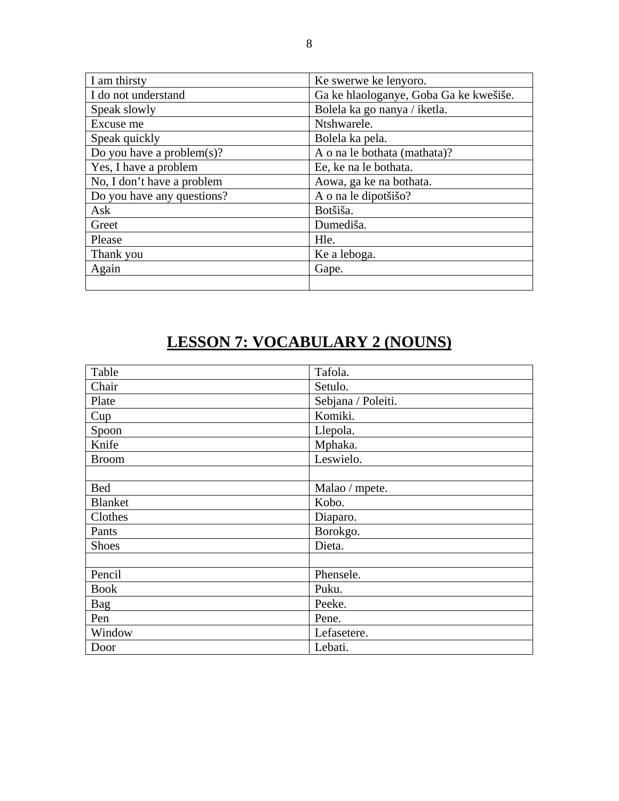| I am thirsty                  | Ke swerwe ke lenyoro.                  |
|-------------------------------|----------------------------------------|
| I do not understand           | Ga ke hlaologanye, Goba Ga ke kwešiše. |
| Speak slowly                  | Bolela ka go nanya / iketla.           |
| Excuse me                     | Ntshwarele.                            |
| Speak quickly                 | Bolela ka pela.                        |
| Do you have a problem $(s)$ ? | A o na le bothata (mathata)?           |
| Yes, I have a problem         | Ee, ke na le bothata.                  |
| No, I don't have a problem    | Aowa, ga ke na bothata.                |
| Do you have any questions?    | A o na le dipotšišo?                   |
| Ask                           | Botšiša.                               |
| Greet                         | Dumediša.                              |
| Please                        | Hle.                                   |
| Thank you                     | Ke a leboga.                           |
| Again                         | Gape.                                  |
|                               |                                        |

# **LESSON 7: VOCABULARY 2 (NOUNS)**

| Table          | Tafola.            |  |  |  |
|----------------|--------------------|--|--|--|
| Chair          | Setulo.            |  |  |  |
| Plate          | Sebjana / Poleiti. |  |  |  |
| Cup            | Komiki.            |  |  |  |
| Spoon          | Llepola.           |  |  |  |
| Knife          | Mphaka.            |  |  |  |
| <b>Broom</b>   | Leswielo.          |  |  |  |
|                |                    |  |  |  |
| <b>Bed</b>     | Malao / mpete.     |  |  |  |
| <b>Blanket</b> | Kobo.              |  |  |  |
| Clothes        | Diaparo.           |  |  |  |
| Pants          | Borokgo.           |  |  |  |
| <b>Shoes</b>   | Dieta.             |  |  |  |
|                |                    |  |  |  |
| Pencil         | Phensele.          |  |  |  |
| <b>Book</b>    | Puku.              |  |  |  |
| Bag            | Peeke.             |  |  |  |
| Pen            | Pene.              |  |  |  |
| Window         | Lefasetere.        |  |  |  |
| Door           | Lebati.            |  |  |  |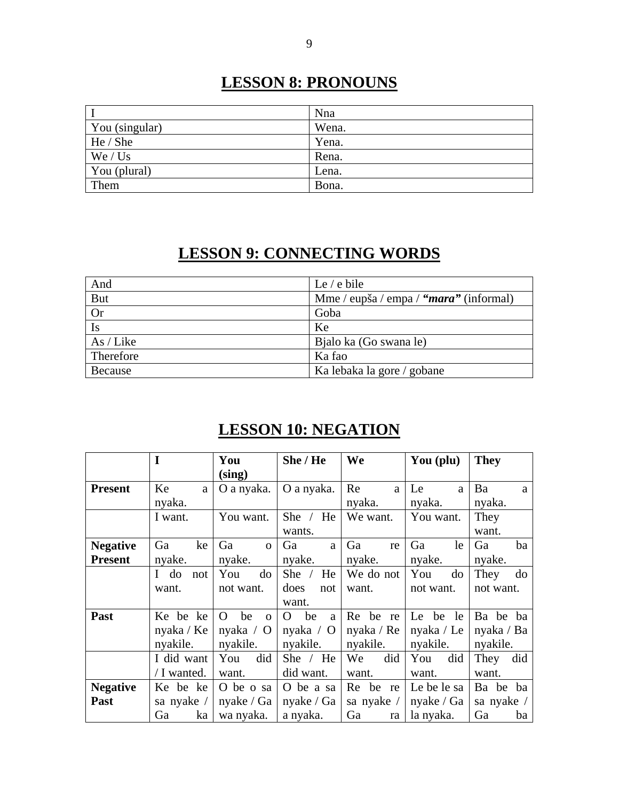### **LESSON 8: PRONOUNS**

|                | Nna   |
|----------------|-------|
| You (singular) | Wena. |
| He / She       | Yena. |
| We / Us        | Rena. |
| You (plural)   | Lena. |
| Them           | Bona. |

#### **LESSON 9: CONNECTING WORDS**

| And        | Le $/$ e bile                          |
|------------|----------------------------------------|
| <b>But</b> | Mme / eupša / empa / "mara" (informal) |
| <b>Or</b>  | Goba                                   |
| Is         | Ke                                     |
| As / Like  | Bjalo ka (Go swana le)                 |
| Therefore  | Ka fao                                 |
| Because    | Ka lebaka la gore / gobane             |

### **LESSON 10: NEGATION**

|                 | I                         | You                     | She / He         | We          | You (plu)   | <b>They</b> |
|-----------------|---------------------------|-------------------------|------------------|-------------|-------------|-------------|
|                 |                           | (sing)                  |                  |             |             |             |
| <b>Present</b>  | Ke<br>a                   | O a nyaka.              | O a nyaka.       | Re<br>a     | Le<br>a     | Ba<br>a     |
|                 | nyaka.                    |                         |                  | nyaka.      | nyaka.      | nyaka.      |
|                 | I want.                   | You want.               | She $/$<br>He    | We want.    | You want.   | They        |
|                 |                           |                         | wants.           |             |             | want.       |
| <b>Negative</b> | Ga<br>ke                  | Ga<br>$\Omega$          | Ga<br>a          | Ga<br>re    | Ga<br>le    | Ga<br>ba    |
| <b>Present</b>  | nyake.                    | nyake.                  | nyake.           | nyake.      | nyake.      | nyake.      |
|                 | do<br>$\mathbf{I}$<br>not | You<br>do               | She $/$<br>He    | We do not   | You<br>do   | They<br>do  |
|                 | want.                     | not want.               | does<br>not      | want.       | not want.   | not want.   |
|                 |                           |                         | want.            |             |             |             |
| Past            | Ke be ke                  | O<br>be<br>$\mathbf{O}$ | be<br>O<br>a     | Re be<br>re | Le<br>be le | Ba be ba    |
|                 | nyaka / Ke                | nyaka $\prime$ O        | nyaka $\prime$ O | nyaka / Re  | nyaka / Le  | nyaka / Ba  |
|                 | nyakile.                  | nyakile.                | nyakile.         | nyakile.    | nyakile.    | nyakile.    |
|                 | I did want                | did<br>You              | She / $He$       | did<br>We   | You<br>did  | They<br>did |
|                 | / I wanted.               | want.                   | did want.        | want.       | want.       | want.       |
| <b>Negative</b> | Ke be ke                  | O be o sa               | O be a sa        | Re be<br>re | Le be le sa | Ba be ba    |
| Past            | sa nyake /                | nyake / $Ga$            | nyake / Ga       | sa nyake /  | nyake / Ga  | sa nyake /  |
|                 | ka<br>Ga                  | wa nyaka.               | a nyaka.         | Ga<br>ra    | la nyaka.   | Ga<br>ba    |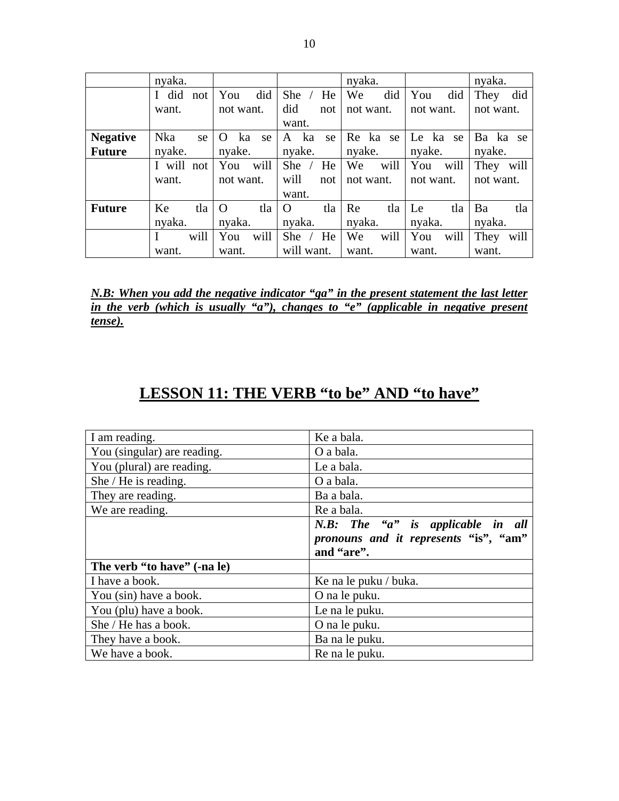|                 | nyaka.     |      |                |      |          |            | nyaka. |           |           |      | nyaka.    |          |
|-----------------|------------|------|----------------|------|----------|------------|--------|-----------|-----------|------|-----------|----------|
|                 | I did not  |      | You            | did  | She      | He         | We     | did       | You       | did  | They      | did      |
|                 | want.      |      | not want.      |      | did      | not        |        | not want. | not want. |      | not want. |          |
|                 |            |      |                |      | want.    |            |        |           |           |      |           |          |
| <b>Negative</b> | <b>Nka</b> | se   | ka<br>$\Omega$ | se   | A ka     | se         |        | Re ka se  | Le ka se  |      |           | Ba ka se |
| <b>Future</b>   | nyake.     |      | nyake.         |      | nyake.   |            | nyake. |           | nyake.    |      | nyake.    |          |
|                 | I will not |      | You            | will | She      | He         | We     | will      | You       | will | They      | will     |
|                 | want.      |      | not want.      |      | will     | not        |        | not want. | not want. |      | not want. |          |
|                 |            |      |                |      | want.    |            |        |           |           |      |           |          |
| <b>Future</b>   | Ke         | tla  | $\Omega$       | tla  | $\Omega$ | tla        | Re     | tla       | Le        | tla  | Ba        | tla      |
|                 | nyaka.     |      | nyaka.         |      | nyaka.   |            | nyaka. |           | nyaka.    |      | nyaka.    |          |
|                 |            | will | You            | will | She      | He         | We     | will      | You       | will | They      | will     |
|                 | want.      |      | want.          |      |          | will want. | want.  |           | want.     |      | want.     |          |

*N.B: When you add the negative indicator "ga" in the present statement the last letter in the verb (which is usually "a"), changes to "e" (applicable in negative present tense).* 

#### **LESSON 11: THE VERB "to be" AND "to have"**

| I am reading.               | Ke a bala.                            |
|-----------------------------|---------------------------------------|
| You (singular) are reading. | O a bala.                             |
| You (plural) are reading.   | Le a bala.                            |
| She / He is reading.        | O a bala.                             |
| They are reading.           | Ba a bala.                            |
| We are reading.             | Re a bala.                            |
|                             | N.B: The "a" is applicable in all     |
|                             | pronouns and it represents "is", "am" |
|                             | and "are".                            |
| The verb "to have" (-na le) |                                       |
| I have a book.              | Ke na le puku / buka.                 |
| You (sin) have a book.      | O na le puku.                         |
| You (plu) have a book.      | Le na le puku.                        |
| She / He has a book.        | O na le puku.                         |
| They have a book.           | Ba na le puku.                        |
| We have a book.             | Re na le puku.                        |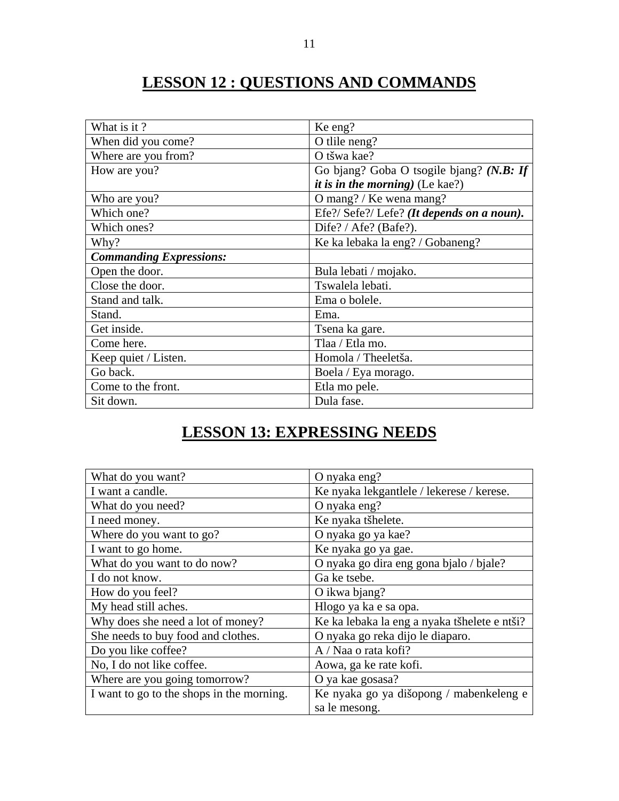# **LESSON 12 : QUESTIONS AND COMMANDS**

| What is it?                    | Ke eng?                                  |
|--------------------------------|------------------------------------------|
| When did you come?             | O tlile neng?                            |
| Where are you from?            | O tšwa kae?                              |
| How are you?                   | Go bjang? Goba O tsogile bjang? (N.B: If |
|                                | <i>it is in the morning</i> ) (Le kae?)  |
| Who are you?                   | O mang? / Ke wena mang?                  |
| Which one?                     | Efe?/Sefe?/Lefe? (It depends on a noun). |
| Which ones?                    | Dife? / Afe? (Bafe?).                    |
| Why?                           | Ke ka lebaka la eng? / Gobaneng?         |
| <b>Commanding Expressions:</b> |                                          |
| Open the door.                 | Bula lebati / mojako.                    |
| Close the door.                | Tswalela lebati.                         |
| Stand and talk.                | Ema o bolele.                            |
| Stand.                         | Ema.                                     |
| Get inside.                    | Tsena ka gare.                           |
| Come here.                     | Tlaa / Etla mo.                          |
| Keep quiet / Listen.           | Homola / Theeletša.                      |
| Go back.                       | Boela / Eya morago.                      |
| Come to the front.             | Etla mo pele.                            |
| Sit down.                      | Dula fase.                               |

### **LESSON 13: EXPRESSING NEEDS**

| What do you want?                         | O nyaka eng?                                 |
|-------------------------------------------|----------------------------------------------|
| I want a candle.                          | Ke nyaka lekgantlele / lekerese / kerese.    |
| What do you need?                         | O nyaka eng?                                 |
| I need money.                             | Ke nyaka tšhelete.                           |
| Where do you want to go?                  | O nyaka go ya kae?                           |
| I want to go home.                        | Ke nyaka go ya gae.                          |
| What do you want to do now?               | O nyaka go dira eng gona bjalo / bjale?      |
| I do not know.                            | Ga ke tsebe.                                 |
| How do you feel?                          | O ikwa bjang?                                |
| My head still aches.                      | Hlogo ya ka e sa opa.                        |
| Why does she need a lot of money?         | Ke ka lebaka la eng a nyaka tšhelete e ntši? |
| She needs to buy food and clothes.        | O nyaka go reka dijo le diaparo.             |
| Do you like coffee?                       | A / Naa o rata kofi?                         |
| No, I do not like coffee.                 | Aowa, ga ke rate kofi.                       |
| Where are you going tomorrow?             | O ya kae gosasa?                             |
| I want to go to the shops in the morning. | Ke nyaka go ya dišopong / mabenkeleng e      |
|                                           | sa le mesong.                                |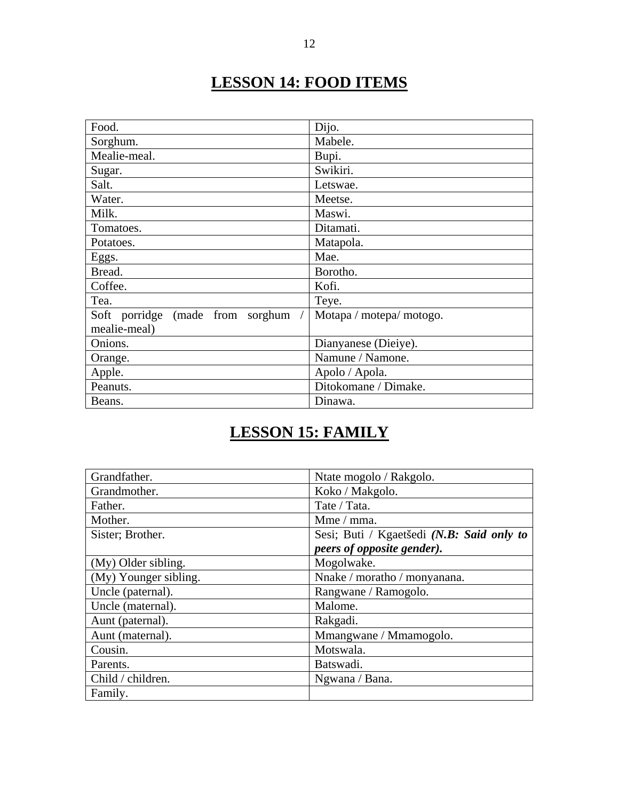# **LESSON 14: FOOD ITEMS**

| Food.                              | Dijo.                    |  |
|------------------------------------|--------------------------|--|
| Sorghum.                           | Mabele.                  |  |
| Mealie-meal.                       | Bupi.                    |  |
| Sugar.                             | Swikiri.                 |  |
| Salt.                              | Letswae.                 |  |
| Water.                             | Meetse.                  |  |
| Milk.                              | Maswi.                   |  |
| Tomatoes.                          | Ditamati.                |  |
| Potatoes.                          | Matapola.                |  |
| Eggs.                              | Mae.                     |  |
| Bread.                             | Borotho.                 |  |
| Coffee.                            | Kofi.                    |  |
| Tea.                               | Teye.                    |  |
| Soft porridge (made from sorghum / | Motapa / motepa/ motogo. |  |
| mealie-meal)                       |                          |  |
| Onions.                            | Dianyanese (Dieiye).     |  |
| Orange.                            | Namune / Namone.         |  |
| Apple.                             | Apolo / Apola.           |  |
| Peanuts.                           | Ditokomane / Dimake.     |  |
| Beans.                             | Dinawa.                  |  |

# **LESSON 15: FAMILY**

| Grandfather.          | Ntate mogolo / Rakgolo.                   |
|-----------------------|-------------------------------------------|
| Grandmother.          | Koko / Makgolo.                           |
| Father.               | Tate / Tata.                              |
| Mother.               | Mme / mma.                                |
| Sister; Brother.      | Sesi; Buti / Kgaetšedi (N.B: Said only to |
|                       | peers of opposite gender).                |
| (My) Older sibling.   | Mogolwake.                                |
| (My) Younger sibling. | Nnake / moratho / monyanana.              |
| Uncle (paternal).     | Rangwane / Ramogolo.                      |
| Uncle (maternal).     | Malome.                                   |
| Aunt (paternal).      | Rakgadi.                                  |
| Aunt (maternal).      | Mmangwane / Mmamogolo.                    |
| Cousin.               | Motswala.                                 |
| Parents.              | Batswadi.                                 |
| Child / children.     | Ngwana / Bana.                            |
| Family.               |                                           |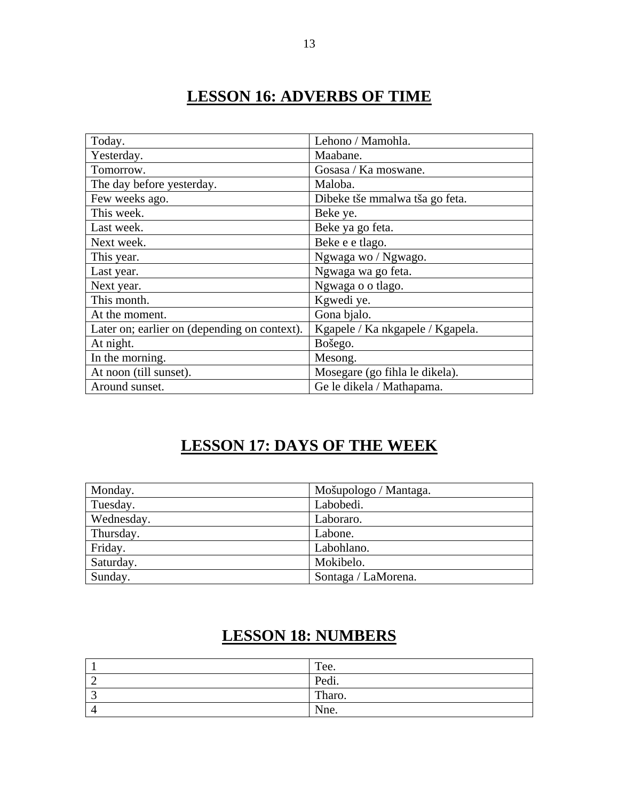### **LESSON 16: ADVERBS OF TIME**

| Today.                                       | Lehono / Mamohla.                |
|----------------------------------------------|----------------------------------|
| Yesterday.                                   | Maabane.                         |
| Tomorrow.                                    | Gosasa / Ka moswane.             |
| The day before yesterday.                    | Maloba.                          |
| Few weeks ago.                               | Dibeke tše mmalwa tša go feta.   |
| This week.                                   | Beke ye.                         |
| Last week.                                   | Beke ya go feta.                 |
| Next week.                                   | Beke e e tlago.                  |
| This year.                                   | Ngwaga wo / Ngwago.              |
| Last year.                                   | Ngwaga wa go feta.               |
| Next year.                                   | Ngwaga o o tlago.                |
| This month.                                  | Kgwedi ye.                       |
| At the moment.                               | Gona bjalo.                      |
| Later on; earlier on (depending on context). | Kgapele / Ka nkgapele / Kgapela. |
| At night.                                    | Bošego.                          |
| In the morning.                              | Mesong.                          |
| At noon (till sunset).                       | Mosegare (go fihla le dikela).   |
| Around sunset.                               | Ge le dikela / Mathapama.        |

### **LESSON 17: DAYS OF THE WEEK**

| Monday.    | Mošupologo / Mantaga. |
|------------|-----------------------|
| Tuesday.   | Labobedi.             |
| Wednesday. | Laboraro.             |
| Thursday.  | Labone.               |
| Friday.    | Labohlano.            |
| Saturday.  | Mokibelo.             |
| Sunday.    | Sontaga / LaMorena.   |

#### **LESSON 18: NUMBERS**

| Tee.   |
|--------|
| Pedi.  |
| Tharo. |
| Nne.   |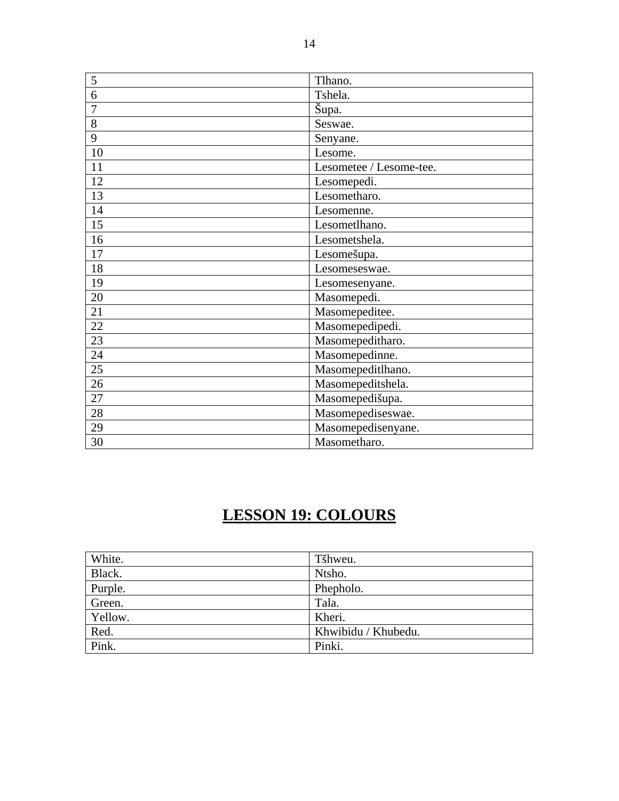| 5  | Tlhano.                 |
|----|-------------------------|
| 6  | Tshela.                 |
| 7  | Šupa.                   |
| 8  | Seswae.                 |
| 9  | Senyane.                |
| 10 | Lesome.                 |
| 11 | Lesometee / Lesome-tee. |
| 12 | Lesomepedi.             |
| 13 | Lesometharo.            |
| 14 | Lesomenne.              |
| 15 | Lesometlhano.           |
| 16 | Lesometshela.           |
| 17 | Lesomešupa.             |
| 18 | Lesomeseswae.           |
| 19 | Lesomesenyane.          |
| 20 | Masomepedi.             |
| 21 | Masomepeditee.          |
| 22 | Masomepedipedi.         |
| 23 | Masomepeditharo.        |
| 24 | Masomepedinne.          |
| 25 | Masomepeditlhano.       |
| 26 | Masomepeditshela.       |
| 27 | Masomepedišupa.         |
| 28 | Masomepediseswae.       |
| 29 | Masomepedisenyane.      |
| 30 | Masometharo.            |

# **LESSON 19: COLOURS**

| White.  | Tšhweu.             |
|---------|---------------------|
| Black.  | Ntsho.              |
| Purple. | Phepholo.           |
| Green.  | Tala.               |
| Yellow. | Kheri.              |
| Red.    | Khwibidu / Khubedu. |
| Pink.   | Pinki.              |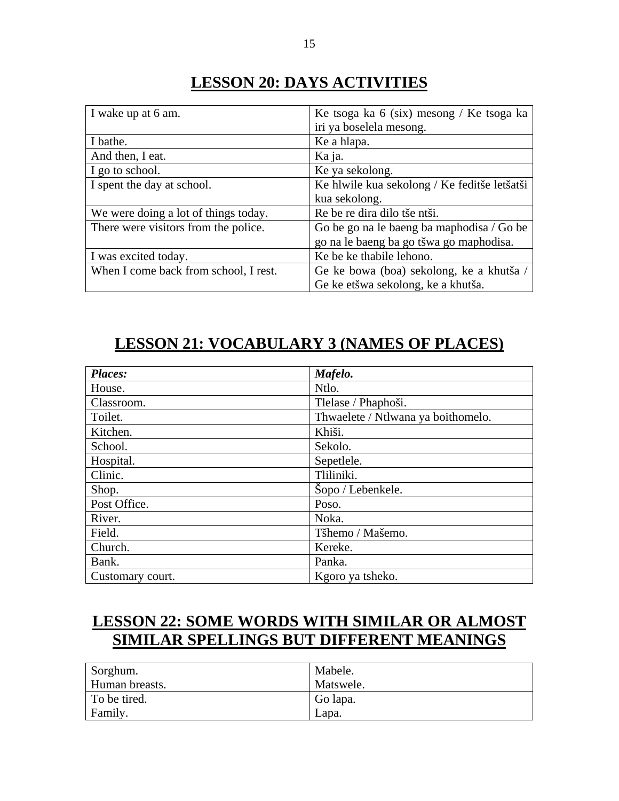#### **LESSON 20: DAYS ACTIVITIES**

| I wake up at 6 am.                    | Ke tsoga ka 6 (six) mesong / Ke tsoga ka     |
|---------------------------------------|----------------------------------------------|
|                                       | iri ya boselela mesong.                      |
| I bathe.                              | Ke a hlapa.                                  |
| And then, I eat.                      | Ka ja.                                       |
| I go to school.                       | Ke ya sekolong.                              |
| I spent the day at school.            | Ke hlwile kua sekolong / Ke feditše letšatši |
|                                       | kua sekolong.                                |
| We were doing a lot of things today.  | Re be re dira dilo tše ntši.                 |
| There were visitors from the police.  | Go be go na le baeng ba maphodisa / Go be    |
|                                       | go na le baeng ba go tšwa go maphodisa.      |
| I was excited today.                  | Ke be ke thabile lehono.                     |
| When I come back from school, I rest. | Ge ke bowa (boa) sekolong, ke a khutša /     |
|                                       | Ge ke etšwa sekolong, ke a khutša.           |

### **LESSON 21: VOCABULARY 3 (NAMES OF PLACES)**

| Places:          | Mafelo.                            |
|------------------|------------------------------------|
| House.           | Ntlo.                              |
| Classroom.       | Tlelase / Phaphoši.                |
| Toilet.          | Thwaelete / Ntlwana ya boithomelo. |
| Kitchen.         | Khiši.                             |
| School.          | Sekolo.                            |
| Hospital.        | Sepetlele.                         |
| Clinic.          | Tliliniki.                         |
| Shop.            | Šopo / Lebenkele.                  |
| Post Office.     | Poso.                              |
| River.           | Noka.                              |
| Field.           | Tšhemo / Mašemo.                   |
| Church.          | Kereke.                            |
| Bank.            | Panka.                             |
| Customary court. | Kgoro ya tsheko.                   |

# **LESSON 22: SOME WORDS WITH SIMILAR OR ALMOST SIMILAR SPELLINGS BUT DIFFERENT MEANINGS**

| Sorghum.       | Mabele.   |
|----------------|-----------|
| Human breasts. | Matswele. |
| To be tired.   | Go lapa.  |
| Family.        | Lapa.     |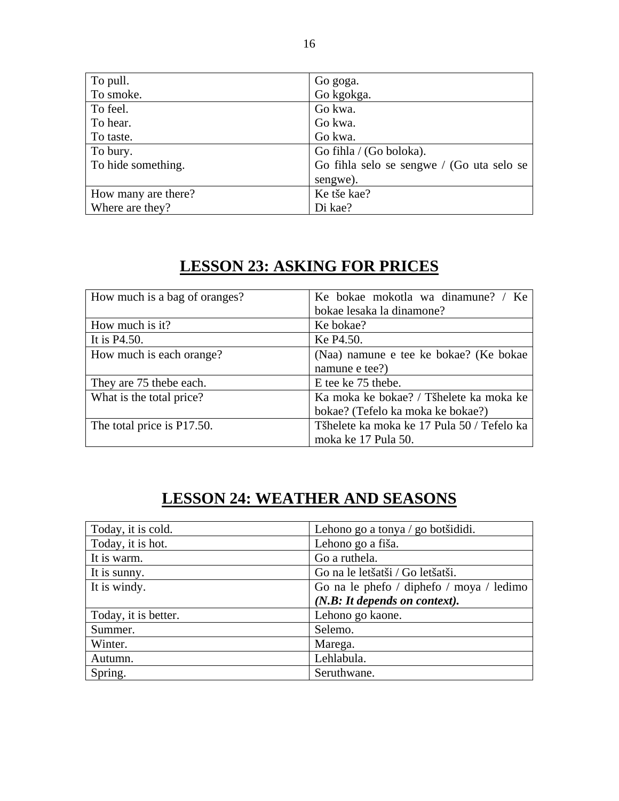| To pull.            | Go goga.                                  |
|---------------------|-------------------------------------------|
| To smoke.           | Go kgokga.                                |
| To feel.            | Go kwa.                                   |
| To hear.            | Go kwa.                                   |
| To taste.           | Go kwa.                                   |
| To bury.            | Go fihla / (Go boloka).                   |
| To hide something.  | Go fihla selo se sengwe / (Go uta selo se |
|                     | sengwe).                                  |
| How many are there? | Ke tše kae?                               |
| Where are they?     | Di kae?                                   |

# **LESSON 23: ASKING FOR PRICES**

| How much is a bag of oranges? | Ke bokae mokotla wa dinamune? / Ke         |
|-------------------------------|--------------------------------------------|
|                               | bokae lesaka la dinamone?                  |
| How much is it?               | Ke bokae?                                  |
| It is P4.50.                  | Ke P4.50.                                  |
| How much is each orange?      | (Naa) namune e tee ke bokae? (Ke bokae)    |
|                               | namune e tee?)                             |
| They are 75 the be each.      | E tee ke 75 thebe.                         |
| What is the total price?      | Ka moka ke bokae? / Tšhelete ka moka ke    |
|                               | bokae? (Tefelo ka moka ke bokae?)          |
| The total price is P17.50.    | Tšhelete ka moka ke 17 Pula 50 / Tefelo ka |
|                               | moka ke 17 Pula 50.                        |

# **LESSON 24: WEATHER AND SEASONS**

| Today, it is cold.   | Lehono go a tonya / go botšididi.        |
|----------------------|------------------------------------------|
| Today, it is hot.    | Lehono go a fiša.                        |
| It is warm.          | Go a ruthela.                            |
| It is sunny.         | Go na le letšatši / Go letšatši.         |
| It is windy.         | Go na le phefo / diphefo / moya / ledimo |
|                      | (N.B: It depends on context).            |
| Today, it is better. | Lehono go kaone.                         |
| Summer.              | Selemo.                                  |
| Winter.              | Marega.                                  |
| Autumn.              | Lehlabula.                               |
| Spring.              | Seruthwane.                              |